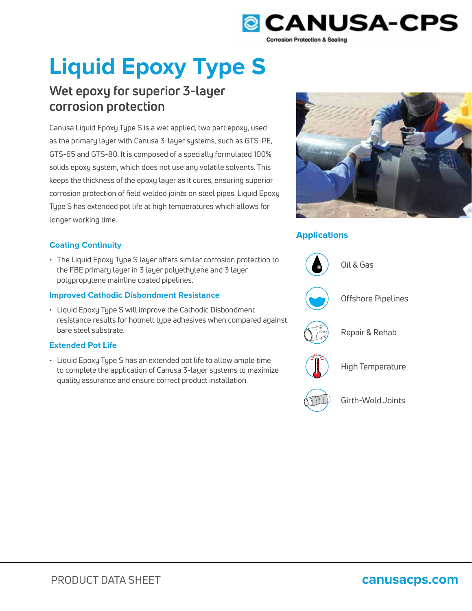

# **Liquid Epoxy Type S**

# **Wet epoxy for superior 3-layer corrosion protection**

Canusa Liquid Epoxy Type S is a wet applied, two part epoxy, used as the primary layer with Canusa 3-layer systems, such as GTS-PE, GTS-65 and GTS-80. It is composed of a specially formulated 100% solids epoxy system, which does not use any volatile solvents. This keeps the thickness of the epoxy layer as it cures, ensuring superior corrosion protection of field welded joints on steel pipes. Liquid Epoxy Type S has extended pot life at high temperatures which allows for longer working time.

# **Coating Continuity**

• The Liquid Epoxy Type S layer offers similar corrosion protection to the FBE primary layer in 3 layer polyethylene and 3 layer polypropylene mainline coated pipelines.

# **Improved Cathodic Disbondment Resistance**

• Liquid Epoxy Type S will improve the Cathodic Disbondment resistance results for hotmelt type adhesives when compared against bare steel substrate.

# **Extended Pot Life**

• Liquid Epoxy Type S has an extended pot life to allow ample time to complete the application of Canusa 3-layer systems to maximize quality assurance and ensure correct product installation.



# **Applications**